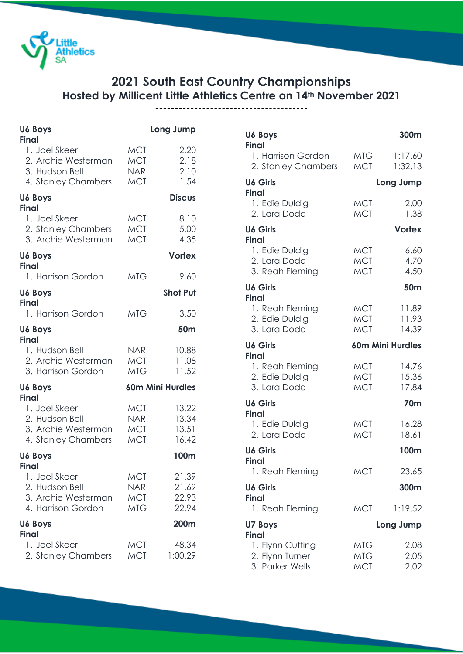

## **2021 South East Country Championships Hosted by Millicent Little Athletics Centre on 14th November 2021**

**---------------------------------------**

| <b>U6 Boys</b><br><b>Final</b>                                                |                                                      | Long Jump                        |
|-------------------------------------------------------------------------------|------------------------------------------------------|----------------------------------|
| 1. Joel Skeer<br>2. Archie Westerman<br>3. Hudson Bell<br>4. Stanley Chambers | <b>MCT</b><br><b>MCT</b><br><b>NAR</b><br><b>MCT</b> | 2.20<br>2.18<br>2.10<br>1.54     |
| <b>U6 Boys</b><br><b>Final</b>                                                |                                                      | <b>Discus</b>                    |
| 1. Joel Skeer<br>2. Stanley Chambers<br>3. Archie Westerman                   | <b>MCT</b><br><b>MCT</b><br><b>MCT</b>               | 8.10<br>5.00<br>4.35             |
| U6 Boys<br><b>Final</b>                                                       |                                                      | <b>Vortex</b>                    |
| 1. Harrison Gordon                                                            | <b>MTG</b>                                           | 9.60                             |
| U6 Boys<br><b>Final</b>                                                       |                                                      | <b>Shot Put</b>                  |
| 1. Harrison Gordon                                                            | <b>MTG</b>                                           | 3.50                             |
| U6 Boys<br><b>Final</b>                                                       |                                                      | 50 <sub>m</sub>                  |
| 1. Hudson Bell<br>2. Archie Westerman<br>3. Harrison Gordon                   | NAR<br><b>MCT</b><br><b>MTG</b>                      | 10.88<br>11.08<br>11.52          |
| U6 Boys<br><b>Final</b>                                                       |                                                      | 60m Mini Hurdles                 |
| 1. Joel Skeer<br>2. Hudson Bell<br>3. Archie Westerman<br>4. Stanley Chambers | <b>MCT</b><br>NAR.<br><b>MCT</b><br><b>MCT</b>       | 13.22<br>13.34<br>13.51<br>16.42 |
| U6 Boys<br><b>Final</b>                                                       |                                                      | 100m                             |
| 1. Joel Skeer<br>2. Hudson Bell<br>3. Archie Westerman<br>4. Harrison Gordon  | <b>MCT</b><br><b>NAR</b><br><b>MCT</b><br><b>MTG</b> | 21.39<br>21.69<br>22.93<br>22.94 |
| <b>U6 Boys</b><br><b>Final</b>                                                |                                                      | 200m                             |
| 1. Joel Skeer<br>2. Stanley Chambers                                          | <b>MCT</b><br><b>MCT</b>                             | 48.34<br>1:00.29                 |

| <b>U6 Boys</b><br>Final                                                |                                        | 300m                    |
|------------------------------------------------------------------------|----------------------------------------|-------------------------|
| 1. Harrison Gordon<br>2. Stanley Chambers                              | MTG<br>MCT                             | 1:17.60<br>1:32.13      |
| <b>U6 Girls</b><br><b>Final</b>                                        |                                        | Long Jump               |
| 1. Edie Duldig<br>2. Lara Dodd                                         | <b>MCT</b><br><b>MCT</b>               | 2.00<br>1.38            |
| <b>U6 Girls</b><br><b>Final</b>                                        |                                        | <b>Vortex</b>           |
| 1. Edie Duldig<br>2. Lara Dodd<br>3. Reah Fleming                      | <b>MCT</b><br><b>MCT</b><br><b>MCT</b> | 6.60<br>4.70<br>4.50    |
| <b>U6 Girls</b><br><b>Final</b>                                        |                                        | 50 <sub>m</sub>         |
| 1. Reah Fleming<br>2. Edie Duldig<br>3. Lara Dodd                      | <b>MCT</b><br><b>MCT</b><br><b>MCT</b> | 11.89<br>11.93<br>14.39 |
| <b>U6 Girls</b>                                                        |                                        | <b>60m Mini Hurdles</b> |
| <b>Final</b><br>1. Reah Fleming<br>2. Edie Duldig<br>3. Lara Dodd      | <b>MCT</b><br><b>MCT</b><br><b>MCT</b> | 14.76<br>15.36<br>17.84 |
| <b>U6 Girls</b>                                                        |                                        | <b>70m</b>              |
| <b>Final</b><br>1. Edie Duldig<br>2. Lara Dodd                         | <b>MCT</b><br><b>MCT</b>               | 16.28<br>18.61          |
| <b>U6 Girls</b><br><b>Final</b>                                        |                                        | 100m                    |
| 1. Reah Fleming                                                        | <b>MCT</b>                             | 23.65                   |
| <b>U6 Girls</b>                                                        |                                        | 300m                    |
| <b>Final</b><br>1. Reah Fleming                                        | <b>MCT</b>                             | 1:19.52                 |
| U7 Boys                                                                |                                        | Long Jump               |
| <b>Final</b><br>1. Flynn Cutting<br>2. Flynn Turner<br>3. Parker Wells | MTG<br><b>MTG</b><br><b>MCT</b>        | 2.08<br>2.05<br>2.02    |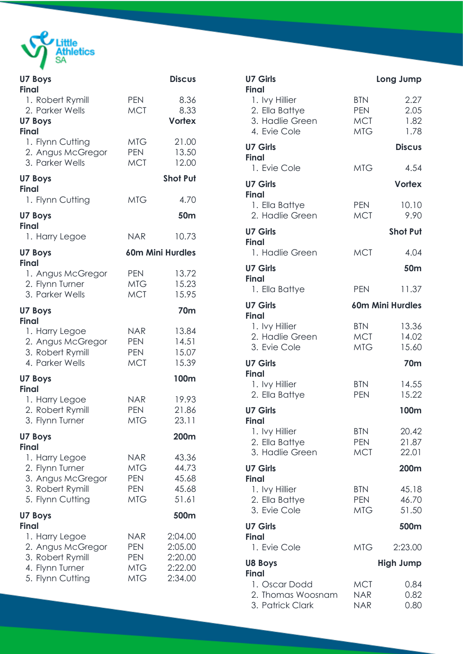

| <b>U7 Boys</b><br><b>Final</b>                                                                                 |                                                                    | <b>Discus</b>                                       |
|----------------------------------------------------------------------------------------------------------------|--------------------------------------------------------------------|-----------------------------------------------------|
| 1. Robert Rymill<br>2. Parker Wells<br><b>U7 Boys</b>                                                          | <b>PEN</b><br><b>MCT</b>                                           | 8.36<br>8.33<br><b>Vortex</b>                       |
| <b>Final</b><br>1. Flynn Cutting<br>2. Angus McGregor<br>3. Parker Wells                                       | MTG-<br><b>PEN</b><br><b>MCT</b>                                   | 21.00<br>13.50<br>12.00                             |
| <b>U7 Boys</b><br><b>Final</b>                                                                                 |                                                                    | <b>Shot Put</b>                                     |
| 1. Flynn Cutting                                                                                               | <b>MTG</b>                                                         | 4.70                                                |
| <b>U7 Boys</b><br><b>Final</b><br>1. Harry Legoe                                                               | <b>NAR</b>                                                         | 50m<br>10.73                                        |
| <b>U7 Boys</b>                                                                                                 |                                                                    | 60m Mini Hurdles                                    |
| <b>Final</b><br>1. Angus McGregor<br>2. Flynn Turner<br>3. Parker Wells                                        | <b>PEN</b><br>MTG<br><b>MCT</b>                                    | 13.72<br>15.23<br>15.95                             |
| <b>U7 Boys</b>                                                                                                 |                                                                    | 70m                                                 |
| <b>Final</b><br>1. Harry Legoe<br>2. Angus McGregor<br>3. Robert Rymill<br>4. Parker Wells                     | <b>NAR</b><br><b>PEN</b><br><b>PEN</b><br><b>MCT</b>               | 13.84<br>14.51<br>15.07<br>15.39                    |
| <b>U7 Boys</b><br><b>Final</b>                                                                                 |                                                                    | 100m                                                |
| 1. Harry Legoe<br>2. Robert Rymill<br>3. Flynn Turner                                                          | <b>NAR</b><br><b>PEN</b><br><b>MTG</b>                             | 19.93<br>21.86<br>23.11                             |
| <b>U7 Boys</b>                                                                                                 |                                                                    | 200m                                                |
| <b>Final</b><br>1. Harry Legoe<br>2. Flynn Turner<br>3. Angus McGregor<br>3. Robert Rymill<br>5. Flynn Cutting | <b>NAR</b><br><b>MTG</b><br><b>PEN</b><br><b>PEN</b><br><b>MTG</b> | 43.36<br>44.73<br>45.68<br>45.68<br>51.61           |
| <b>U7 Boys</b>                                                                                                 |                                                                    | 500m                                                |
| <b>Final</b><br>1. Harry Legoe<br>2. Angus McGregor<br>3. Robert Rymill<br>4. Flynn Turner<br>5. Flynn Cutting | <b>NAR</b><br><b>PEN</b><br><b>PEN</b><br>MTG<br><b>MTG</b>        | 2:04.00<br>2:05.00<br>2:20.00<br>2:22.00<br>2:34.00 |

| <b>U7 Girls</b><br><b>Final</b>                                     |                                                      | Long Jump                    |
|---------------------------------------------------------------------|------------------------------------------------------|------------------------------|
| 1. Ivy Hillier<br>2. Ella Battye<br>3. Hadlie Green<br>4. Evie Cole | <b>BTN</b><br><b>PEN</b><br><b>MCT</b><br><b>MTG</b> | 2.27<br>2.05<br>1.82<br>1.78 |
| <b>U7 Girls</b><br><b>Final</b>                                     |                                                      | <b>Discus</b>                |
| 1. Evie Cole<br><b>U7 Girls</b>                                     | <b>MTG</b>                                           | 4.54<br><b>Vortex</b>        |
| <b>Final</b><br>1. Ella Battye<br>2. Hadlie Green                   | <b>PEN</b><br><b>MCT</b>                             | 10.10<br>9.90                |
| <b>U7 Girls</b>                                                     |                                                      | <b>Shot Put</b>              |
| <b>Final</b><br>1. Hadlie Green                                     | <b>MCT</b>                                           | 4.04                         |
| <b>U7 Girls</b><br><b>Final</b>                                     |                                                      | 50m                          |
| 1. Ella Battye                                                      | <b>PEN</b>                                           | 11.37                        |
| <b>U7 Girls</b><br><b>Final</b>                                     |                                                      | 60m Mini Hurdles             |
| 1. Ivy Hillier<br>2. Hadlie Green<br>3. Evie Cole                   | <b>BTN</b><br>MCT<br>MTG                             | 13.36<br>14.02<br>15.60      |
| <b>U7 Girls</b>                                                     |                                                      | <b>70m</b>                   |
| <b>Final</b><br>1. Ivy Hillier<br>2. Ella Battye                    | <b>BTN</b><br><b>PEN</b>                             | 14.55<br>15.22               |
| <b>U7 Girls</b><br>Final                                            |                                                      | 100m                         |
| 1. Ivy Hillier<br>2. Ella Battye<br>3. Hadlie Green                 | <b>BTN</b><br><b>PEN</b><br><b>MCT</b>               | 20.42<br>21.87<br>22.01      |
| <b>U7 Girls</b><br><b>Final</b>                                     |                                                      | 200m                         |
| 1. Ivy Hillier<br>2. Ella Battye<br>3. Evie Cole                    | <b>BTN</b><br><b>PEN</b><br>MTG                      | 45.18<br>46.70<br>51.50      |
| <b>U7 Girls</b><br><b>Final</b>                                     |                                                      | 500m                         |
| 1. Evie Cole                                                        | <b>MTG</b>                                           | 2:23.00                      |
| <b>U8 Boys</b><br><b>Final</b>                                      |                                                      | <b>High Jump</b>             |
| 1. Oscar Dodd<br>2. Thomas Woosnam<br>3. Patrick Clark              | <b>MCT</b><br><b>NAR</b><br><b>NAR</b>               | 0.84<br>0.82<br>0.80         |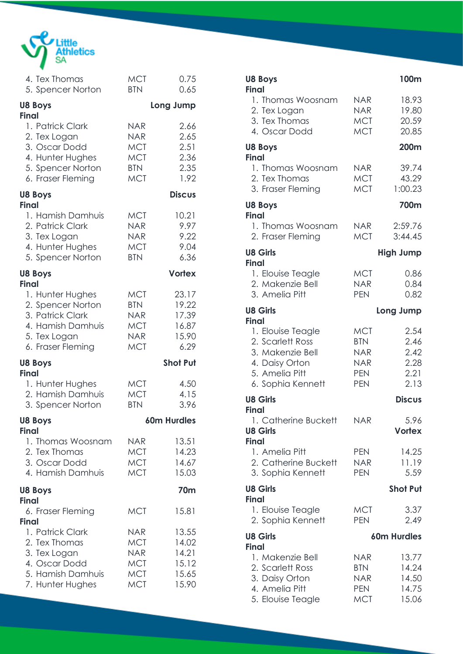

| 4. Tex Thomas                     | <b>MCT</b> | 0.75            |
|-----------------------------------|------------|-----------------|
| 5. Spencer Norton                 | <b>BTN</b> | 0.65            |
| <b>U8 Boys</b><br><b>Final</b>    |            | Long Jump       |
| 1. Patrick Clark                  | <b>NAR</b> | 2.66            |
| 2. Tex Logan                      | <b>NAR</b> | 2.65            |
| 3. Oscar Dodd                     | <b>MCT</b> | 2.51            |
| 4. Hunter Hughes                  | <b>MCT</b> | 2.36            |
| 5. Spencer Norton                 | <b>BTN</b> | 2.35            |
| 6. Fraser Fleming                 | <b>MCT</b> | 1.92            |
| <b>U8 Boys</b><br>Final           |            | <b>Discus</b>   |
| 1. Hamish Damhuis                 | <b>MCT</b> | 10.21           |
| 2. Patrick Clark                  | <b>NAR</b> | 9.97            |
| 3. Tex Logan                      | <b>NAR</b> | 9.22            |
| 4. Hunter Hughes                  | <b>MCT</b> | 9.04            |
| 5. Spencer Norton                 | <b>BTN</b> | 6.36            |
| <b>U8 Boys</b><br><b>Final</b>    |            | <b>Vortex</b>   |
| 1. Hunter Hughes                  | <b>MCT</b> | 23.17           |
| 2. Spencer Norton                 | <b>BTN</b> | 19.22           |
| 3. Patrick Clark                  | NAR.       | 17.39           |
| 4. Hamish Damhuis                 | <b>MCT</b> | 16.87           |
| 5. Tex Logan                      | <b>NAR</b> | 15.90           |
| 6. Fraser Fleming                 | <b>MCT</b> | 6.29            |
| <b>U8 Boys</b><br><b>Final</b>    |            | <b>Shot Put</b> |
| 1. Hunter Hughes                  | <b>MCT</b> | 4.50            |
| 2. Hamish Damhuis                 | <b>MCT</b> | 4.15            |
| 3. Spencer Norton                 | <b>BTN</b> | 3.96            |
| <b>U8 Boys</b><br><b>Final</b>    |            | 60m Hurdles     |
| 1. Thomas Woosnam                 | <b>NAR</b> | 13.51           |
| 2. Tex Thomas                     | <b>MCT</b> | 14.23           |
| 3. Oscar Dodd                     | <b>MCT</b> | 14.67           |
| 4. Hamish Damhuis                 | <b>MCT</b> | 15.03           |
| <b>U8 Boys</b><br><b>Final</b>    |            | <b>70m</b>      |
| 6. Fraser Fleming<br><b>Final</b> | <b>MCT</b> | 15.81           |
| 1. Patrick Clark                  | NAR.       | 13.55           |
| 2. Tex Thomas                     | MCT        | 14.02           |
| 3. Tex Logan                      | <b>NAR</b> | 14.21           |
| 4. Oscar Dodd                     | <b>MCT</b> | 15.12           |
| 5. Hamish Damhuis                 | <b>MCT</b> | 15.65           |
| 7. Hunter Hughes                  | <b>MCT</b> | 15.90           |

| <b>U8 Boys</b><br><b>Final</b>                                                                                                     |                                                                                  | 100m                                         |
|------------------------------------------------------------------------------------------------------------------------------------|----------------------------------------------------------------------------------|----------------------------------------------|
| 1. Thomas Woosnam<br>2. Tex Logan<br>3. Tex Thomas<br>4. Oscar Dodd                                                                | <b>NAR</b><br><b>NAR</b><br><b>MCT</b><br><b>MCT</b>                             | 18.93<br>19.80<br>20.59<br>20.85             |
| <b>U8 Boys</b><br><b>Final</b>                                                                                                     |                                                                                  | 200m                                         |
| 1. Thomas Woosnam<br>2. Tex Thomas<br>3. Fraser Fleming                                                                            | NAR.<br>MCT<br><b>MCT</b>                                                        | 39.74<br>43.29<br>1:00.23                    |
| <b>U8 Boys</b>                                                                                                                     |                                                                                  | 700m                                         |
| <b>Final</b><br>1. Thomas Woosnam<br>2. Fraser Fleming                                                                             | NAR<br><b>MCT</b>                                                                | 2:59.76<br>3:44.45                           |
| <b>U8 Girls</b><br><b>Final</b>                                                                                                    |                                                                                  | <b>High Jump</b>                             |
| 1. Elouise Teagle<br>2. Makenzie Bell<br>3. Amelia Pitt                                                                            | <b>MCT</b><br><b>NAR</b><br><b>PEN</b>                                           | 0.86<br>0.84<br>0.82                         |
| <b>U8 Girls</b>                                                                                                                    |                                                                                  | Long Jump                                    |
| <b>Final</b><br>1. Elouise Teagle<br>2. Scarlett Ross<br>3. Makenzie Bell<br>4. Daisy Orton<br>5. Amelia Pitt<br>6. Sophia Kennett | <b>MCT</b><br><b>BTN</b><br><b>NAR</b><br><b>NAR</b><br><b>PEN</b><br><b>PEN</b> | 2.54<br>2.46<br>2.42<br>2.28<br>2.21<br>2.13 |
| <b>U8 Girls</b>                                                                                                                    |                                                                                  | <b>Discus</b>                                |
| <b>Final</b><br>1. Catherine Buckett<br><b>U8 Girls</b><br><b>Final</b>                                                            | <b>NAR</b>                                                                       | 5.96<br><b>Vortex</b>                        |
| 1. Amelia Pitt<br>2. Catherine Buckett<br>3. Sophia Kennett                                                                        | <b>PEN</b><br>NAR.<br><b>PEN</b>                                                 | 14.25<br>11.19<br>5.59                       |
| <b>U8 Girls</b><br><b>Final</b>                                                                                                    |                                                                                  | <b>Shot Put</b>                              |
| 1. Elouise Teagle<br>2. Sophia Kennett                                                                                             | <b>MCT</b><br><b>PEN</b>                                                         | 3.37<br>2.49                                 |
| <b>U8 Girls</b>                                                                                                                    |                                                                                  | <b>60m Hurdles</b>                           |
| Final<br>1. Makenzie Bell<br>2. Scarlett Ross<br>3. Daisy Orton<br>4. Amelia Pitt<br>5. Elouise Teagle                             | <b>NAR</b><br><b>BTN</b><br><b>NAR</b><br><b>PEN</b><br><b>MCT</b>               | 13.77<br>14.24<br>14.50<br>14.75<br>15.06    |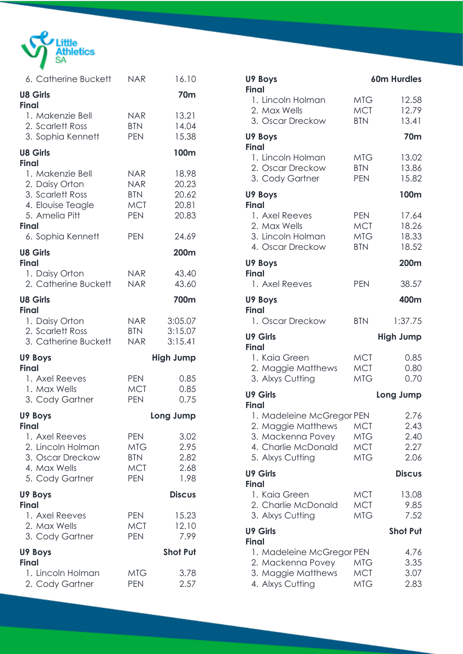

| 6. Catherine Buckett                                                                                          | <b>NAR</b>                                                    | 16.10                                     |
|---------------------------------------------------------------------------------------------------------------|---------------------------------------------------------------|-------------------------------------------|
| <b>U8 Girls</b><br><b>Final</b>                                                                               |                                                               | <b>70m</b>                                |
| 1. Makenzie Bell<br>2. Scarlett Ross<br>3. Sophia Kennett                                                     | NAR<br><b>BTN</b><br><b>PEN</b>                               | 13.21<br>14.04<br>15.38                   |
| <b>U8 Girls</b><br><b>Final</b>                                                                               |                                                               | 100m                                      |
| 1. Makenzie Bell<br>2. Daisy Orton<br>3. Scarlett Ross<br>4. Elouise Teagle<br>5. Amelia Pitt<br><b>Final</b> | NAR I<br><b>NAR</b><br><b>BTN</b><br><b>MCT</b><br><b>PEN</b> | 18.98<br>20.23<br>20.62<br>20.81<br>20.83 |
| 6. Sophia Kennett                                                                                             | <b>PEN</b>                                                    | 24.69                                     |
| <b>U8 Girls</b><br><b>Final</b>                                                                               |                                                               | 200m                                      |
| 1. Daisy Orton<br>2. Catherine Buckett                                                                        | <b>NAR</b><br><b>NAR</b>                                      | 43.40<br>43.60                            |
| <b>U8 Girls</b><br><b>Final</b>                                                                               |                                                               | 700m                                      |
| 1. Daisy Orton<br>2. Scarlett Ross<br>3. Catherine Buckett                                                    | NAR<br><b>BTN</b><br><b>NAR</b>                               | 3:05.07<br>3:15.07<br>3:15.41             |
| U9 Boys<br><b>Final</b>                                                                                       |                                                               | <b>High Jump</b>                          |
| 1. Axel Reeves<br>1. Max Wells<br>3. Cody Gartner                                                             | <b>PEN</b><br><b>MCT</b><br><b>PEN</b>                        | 0.85<br>0.85<br>0.75                      |
| U9 Boys<br><b>Final</b>                                                                                       |                                                               | Long Jump                                 |
| 1. Axel Reeves<br>2. Lincoln Holman<br>3. Oscar Dreckow<br>4. Max Wells<br>5. Cody Gartner                    | <b>PEN</b><br>MTG<br><b>BTN</b><br><b>MCT</b><br><b>PEN</b>   | 3.02<br>2.95<br>2.82<br>2.68<br>1.98      |
| U9 Boys<br><b>Final</b>                                                                                       |                                                               | <b>Discus</b>                             |
| 1. Axel Reeves                                                                                                | <b>PEN</b>                                                    | 15.23                                     |
| 2. Max Wells<br>3. Cody Gartner                                                                               | <b>MCT</b><br><b>PEN</b>                                      | 12.10<br>7.99                             |
| U9 Boys<br><b>Final</b>                                                                                       |                                                               | <b>Shot Put</b>                           |

| U9 Boys<br><b>Final</b>                                                                                                         |                                                      | <b>60m Hurdles</b>                   |
|---------------------------------------------------------------------------------------------------------------------------------|------------------------------------------------------|--------------------------------------|
| 1. Lincoln Holman<br>2. Max Wells                                                                                               | <b>MTG</b><br><b>MCT</b>                             | 12.58<br>12.79                       |
| 3. Oscar Dreckow                                                                                                                | <b>BTN</b>                                           | 13.41                                |
| U9 Boys                                                                                                                         |                                                      | <b>70m</b>                           |
| <b>Final</b><br>1. Lincoln Holman<br>2. Oscar Dreckow<br>3. Cody Gartner                                                        | <b>MTG</b><br><b>BTN</b><br><b>PEN</b>               | 13.02<br>13.86<br>15.82              |
| U9 Boys                                                                                                                         |                                                      | 100m                                 |
| <b>Final</b><br>1. Axel Reeves<br>2. Max Wells<br>3. Lincoln Holman<br>4. Oscar Dreckow                                         | <b>PEN</b><br>MCT<br>MTG<br><b>BTN</b>               | 17.64<br>18.26<br>18.33<br>18.52     |
| U9 Boys<br><b>Final</b>                                                                                                         |                                                      | 200m                                 |
| 1. Axel Reeves                                                                                                                  | <b>PEN</b>                                           | 38.57                                |
| U9 Boys<br><b>Final</b>                                                                                                         |                                                      | 400m                                 |
| 1. Oscar Dreckow                                                                                                                | <b>BTN</b>                                           | 1:37.75                              |
|                                                                                                                                 |                                                      |                                      |
| <b>U9 Girls</b>                                                                                                                 |                                                      | <b>High Jump</b>                     |
| <b>Final</b><br>1. Kaia Green<br>2. Maggie Matthews<br>3. Alxys Cutting                                                         | <b>MCT</b><br><b>MCT</b><br><b>MTG</b>               | 0.85<br>0.80<br>0.70                 |
| <b>U9 Girls</b>                                                                                                                 |                                                      | Long Jump                            |
| <b>Final</b><br>1. Madeleine McGregor PEN<br>2. Maggie Matthews<br>3. Mackenna Povey<br>4. Charlie McDonald<br>5. Alxys Cutting | <b>MCT</b><br><b>MTG</b><br><b>MCT</b><br><b>MTG</b> | 2.76<br>2.43<br>2.40<br>2.27<br>2.06 |
| <b>U9 Girls</b>                                                                                                                 |                                                      | <b>Discus</b>                        |
| <b>Final</b><br>1. Kaia Green<br>2. Charlie McDonald<br>3. Alxys Cutting                                                        | MCT<br><b>MCT</b><br><b>MTG</b>                      | 13.08<br>9.85<br>7.52                |
| <b>U9 Girls</b><br><b>Final</b>                                                                                                 |                                                      | <b>Shot Put</b>                      |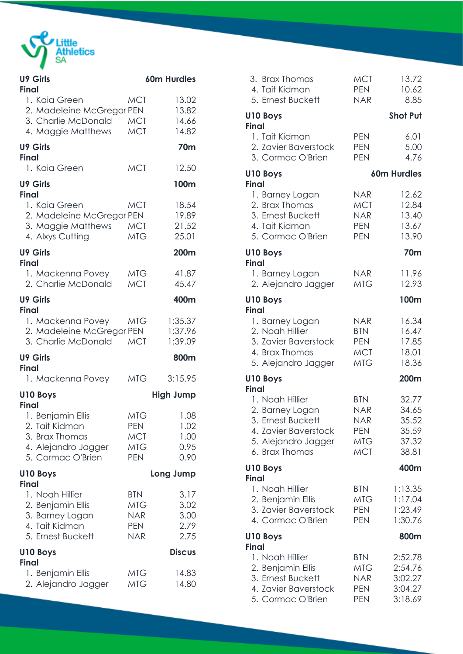

| <b>U9 Girls</b>                                                                                         |                                                                    | <b>60m Hurdles</b>                   |
|---------------------------------------------------------------------------------------------------------|--------------------------------------------------------------------|--------------------------------------|
| <b>Final</b><br>1. Kaia Green<br>2. Madeleine McGregor PEN<br>3. Charlie McDonald<br>4. Maggie Matthews | <b>MCT</b><br><b>MCT</b><br><b>MCT</b>                             | 13.02<br>13.82<br>14.66<br>14.82     |
| <b>U9 Girls</b><br><b>Final</b>                                                                         |                                                                    | <b>70m</b>                           |
| 1. Kaia Green                                                                                           | <b>MCT</b>                                                         | 12.50                                |
| <b>U9 Girls</b><br><b>Final</b>                                                                         |                                                                    | 100m                                 |
| 1. Kaia Green<br>2. Madeleine McGregor PEN<br>3. Maggie Matthews<br>4. Alxys Cutting                    | <b>MCT</b><br><b>MCT</b><br><b>MTG</b>                             | 18.54<br>19.89<br>21.52<br>25.01     |
| <b>U9 Girls</b><br><b>Final</b>                                                                         |                                                                    | 200m                                 |
| 1. Mackenna Povey<br>2. Charlie McDonald                                                                | <b>MTG</b><br><b>MCT</b>                                           | 41.87<br>45.47                       |
| <b>U9 Girls</b><br><b>Final</b>                                                                         |                                                                    | 400m                                 |
| 1. Mackenna Povey<br>2. Madeleine McGregor PEN<br>3. Charlie McDonald                                   | MTG<br><b>MCT</b>                                                  | 1:35.37<br>1:37.96<br>1:39.09        |
| <b>U9 Girls</b>                                                                                         |                                                                    | 800m                                 |
| <b>Final</b><br>1. Mackenna Povey                                                                       | MTG                                                                | 3:15.95                              |
| <b>U10 Boys</b><br><b>Final</b>                                                                         |                                                                    | <b>High Jump</b>                     |
| 1. Benjamin Ellis<br>2. Tait Kidman<br>3. Brax Thomas<br>4. Alejandro Jagger<br>5. Cormac O'Brien       | <b>MTG</b><br><b>PEN</b><br><b>MCT</b><br><b>MTG</b><br><b>PEN</b> | 1.08<br>1.02<br>1.00<br>0.95<br>0.90 |
| U10 Boys<br><b>Final</b>                                                                                |                                                                    | Long Jump                            |
| 1. Noah Hillier<br>2. Benjamin Ellis<br>3. Barney Logan<br>4. Tait Kidman<br>5. Ernest Buckett          | <b>BTN</b><br><b>MTG</b><br><b>NAR</b><br><b>PEN</b><br><b>NAR</b> | 3.17<br>3.02<br>3.00<br>2.79<br>2.75 |
| U10 Boys<br><b>Final</b>                                                                                |                                                                    | <b>Discus</b>                        |
| 1. Benjamin Ellis<br>2. Alejandro Jagger                                                                | <b>MTG</b><br><b>MTG</b>                                           | 14.83<br>14.80                       |

| 3. Brax Thomas<br>4. Tait Kidman<br>5. Ernest Buckett                                                                                    | <b>MCT</b><br><b>PEN</b><br><b>NAR</b>                                    | 13.72<br>10.62<br>8.85                              |
|------------------------------------------------------------------------------------------------------------------------------------------|---------------------------------------------------------------------------|-----------------------------------------------------|
| <b>U10 Boys</b><br><b>Final</b>                                                                                                          |                                                                           | <b>Shot Put</b>                                     |
| 1. Tait Kidman<br>2. Zavier Baverstock<br>3. Cormac O'Brien                                                                              | <b>PEN</b><br><b>PEN</b><br><b>PEN</b>                                    | 6.01<br>5.00<br>4.76                                |
| U10 Boys<br><b>Final</b>                                                                                                                 |                                                                           | 60m Hurdles                                         |
| 1. Barney Logan<br>2. Brax Thomas<br>3. Ernest Buckett<br>4. Tait Kidman<br>5. Cormac O'Brien                                            | <b>NAR</b><br><b>MCT</b><br>NAR <sup></sup><br><b>PEN</b><br><b>PEN</b>   | 12.62<br>12.84<br>13.40<br>13.67<br>13.90           |
| <b>U10 Boys</b><br><b>Final</b>                                                                                                          |                                                                           | 70m                                                 |
| 1. Barney Logan<br>2. Alejandro Jagger                                                                                                   | <b>NAR</b><br><b>MTG</b>                                                  | 11.96<br>12.93                                      |
| U10 Boys<br><b>Final</b>                                                                                                                 |                                                                           | 100m                                                |
| 1. Barney Logan<br>2. Noah Hillier<br>3. Zavier Baverstock<br>4. Brax Thomas<br>5. Alejandro Jagger                                      | <b>NAR</b><br><b>BTN</b><br><b>PEN</b><br><b>MCT</b><br><b>MTG</b>        | 16.34<br>16.47<br>17.85<br>18.01<br>18.36           |
| <b>U10 Boys</b>                                                                                                                          |                                                                           | 200m                                                |
| <b>Final</b><br>1. Noah Hillier<br>2. Barney Logan<br>3. Ernest Buckett<br>4. Zavier Baverstock<br>5. Alejandro Jagger<br>6. Brax Thomas | <b>BTN</b><br><b>NAR</b><br><b>NAR</b><br><b>PEN</b><br>MTG<br><b>MCT</b> | 32.77<br>34.65<br>35.52<br>35.59<br>37.32<br>38.81  |
| <b>U10 Boys</b><br><b>Final</b>                                                                                                          |                                                                           | 400m                                                |
| 1. Noah Hillier<br>2. Benjamin Ellis<br>3. Zavier Baverstock<br>4. Cormac O'Brien                                                        | <b>BTN</b><br><b>MTG</b><br><b>PEN</b><br><b>PEN</b>                      | 1:13.35<br>1:17.04<br>1:23.49<br>1:30.76            |
| <b>U10 Boys</b><br><b>Final</b>                                                                                                          |                                                                           | 800m                                                |
| 1. Noah Hillier<br>2. Benjamin Ellis<br>3. Ernest Buckett<br>4. Zavier Baverstock<br>5. Cormac O'Brien                                   | <b>BTN</b><br><b>MTG</b><br><b>NAR</b><br><b>PEN</b><br><b>PEN</b>        | 2:52.78<br>2:54.76<br>3:02.27<br>3:04.27<br>3:18.69 |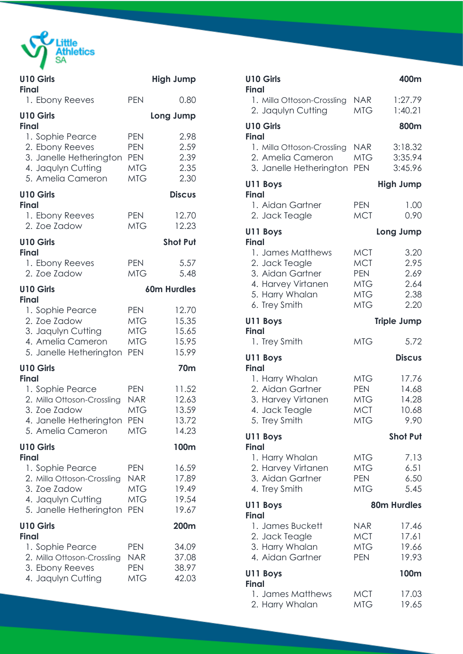

| <b>U10 Girls</b><br><b>Final</b>                                                                                                   |                                                                    | <b>High Jump</b>                          |
|------------------------------------------------------------------------------------------------------------------------------------|--------------------------------------------------------------------|-------------------------------------------|
| 1. Ebony Reeves                                                                                                                    | <b>PEN</b>                                                         | 0.80                                      |
| <b>U10 Girls</b><br><b>Final</b>                                                                                                   |                                                                    | Long Jump                                 |
| 1. Sophie Pearce<br>2. Ebony Reeves<br>3. Janelle Hetherington<br>4. Jaqulyn Cutting<br>5. Amelia Cameron                          | <b>PEN</b><br><b>PEN</b><br><b>PEN</b><br><b>MTG</b><br><b>MTG</b> | 2.98<br>2.59<br>2.39<br>2.35<br>2.30      |
| <b>U10 Girls</b><br><b>Final</b>                                                                                                   |                                                                    | <b>Discus</b>                             |
| 1. Ebony Reeves<br>2. Zoe Zadow                                                                                                    | <b>PEN</b><br><b>MTG</b>                                           | 12.70<br>12.23                            |
| <b>U10 Girls</b><br><b>Final</b>                                                                                                   |                                                                    | <b>Shot Put</b>                           |
| 1. Ebony Reeves<br>2. Zoe Zadow                                                                                                    | <b>PEN</b><br><b>MTG</b>                                           | 5.57<br>5.48                              |
| <b>U10 Girls</b><br><b>Final</b>                                                                                                   |                                                                    | <b>60m Hurdles</b>                        |
| 1. Sophie Pearce<br>2. Zoe Zadow<br>3. Jaqulyn Cutting<br>4. Amelia Cameron<br>5. Janelle Hetherington                             | <b>PEN</b><br>MTG<br>MTG<br><b>MTG</b><br><b>PEN</b>               | 12.70<br>15.35<br>15.65<br>15.95<br>15.99 |
| <b>U10 Girls</b>                                                                                                                   |                                                                    | <b>70m</b>                                |
| <b>Final</b><br>1. Sophie Pearce<br>2. Milla Ottoson-Crossling<br>3. Zoe Zadow<br>4. Janelle Hetherington PEN<br>5. Amelia Cameron | <b>PEN</b><br><b>NAR</b><br><b>MTG</b><br><b>MTG</b>               | 11.52<br>12.63<br>13.59<br>13.72<br>14.23 |
| <b>U10 Girls</b><br><b>Final</b>                                                                                                   |                                                                    | 100m                                      |
| 1. Sophie Pearce<br>2. Milla Ottoson-Crossling<br>3. Zoe Zadow<br>4. Jaqulyn Cutting<br>5. Janelle Hetherington                    | <b>PEN</b><br>NAR<br><b>MTG</b><br><b>MTG</b><br><b>PEN</b>        | 16.59<br>17.89<br>19.49<br>19.54<br>19.67 |
| <b>U10 Girls</b><br><b>Final</b>                                                                                                   |                                                                    | 200m                                      |
| 1. Sophie Pearce<br>2. Milla Ottoson-Crossling<br>3. Ebony Reeves<br>4. Jaqulyn Cutting                                            | <b>PEN</b><br>NAR<br><b>PEN</b><br><b>MTG</b>                      | 34.09<br>37.08<br>38.97<br>42.03          |

| <b>U10 Girls</b><br><b>Final</b>                                                                                  |                                                                                  | 400m                                         |
|-------------------------------------------------------------------------------------------------------------------|----------------------------------------------------------------------------------|----------------------------------------------|
| 1. Milla Ottoson-Crossling<br>2. Jaqulyn Cutting                                                                  | <b>NAR</b><br><b>MTG</b>                                                         | 1:27.79<br>1:40.21                           |
| <b>U10 Girls</b><br><b>Final</b>                                                                                  |                                                                                  | 800m                                         |
| 1. Milla Ottoson-Crossling<br>2. Amelia Cameron<br>3. Janelle Hetherington                                        | <b>NAR</b><br><b>MTG</b><br><b>PEN</b>                                           | 3:18.32<br>3:35.94<br>3:45.96                |
| U11 Boys<br><b>Final</b>                                                                                          |                                                                                  | <b>High Jump</b>                             |
| 1. Aidan Gartner<br>2. Jack Teagle                                                                                | <b>PEN</b><br><b>MCT</b>                                                         | 1.00<br>0.90                                 |
| U11 Boys<br><b>Final</b>                                                                                          |                                                                                  | Long Jump                                    |
| 1. James Matthews<br>2. Jack Teagle<br>3. Aidan Gartner<br>4. Harvey Virtanen<br>5. Harry Whalan<br>6. Trey Smith | <b>MCT</b><br><b>MCT</b><br><b>PEN</b><br><b>MTG</b><br><b>MTG</b><br><b>MTG</b> | 3.20<br>2.95<br>2.69<br>2.64<br>2.38<br>2.20 |
| U11 Boys                                                                                                          |                                                                                  | <b>Triple Jump</b>                           |
| <b>Final</b><br>1. Trey Smith                                                                                     | <b>MTG</b>                                                                       | 5.72                                         |
| U11 Boys                                                                                                          |                                                                                  | <b>Discus</b>                                |
| <b>Final</b><br>1. Harry Whalan<br>2. Aidan Gartner<br>3. Harvey Virtanen<br>4. Jack Teagle<br>5. Trey Smith      | <b>MTG</b><br><b>PEN</b><br><b>MTG</b><br><b>MCT</b><br><b>MTG</b>               | 17.76<br>14.68<br>14.28<br>10.68<br>9.90     |
| U11 Boys<br><b>Final</b>                                                                                          |                                                                                  | <b>Shot Put</b>                              |
| 1. Harry Whalan<br>2. Harvey Virtanen<br>3. Aidan Gartner<br>4. Trey Smith                                        | <b>MTG</b><br><b>MTG</b><br><b>PEN</b><br><b>MTG</b>                             | 7.13<br>6.51<br>6.50<br>5.45                 |
| U11 Boys<br><b>Final</b>                                                                                          |                                                                                  | <b>80m Hurdles</b>                           |
| 1. James Buckett<br>2. Jack Teagle<br>3. Harry Whalan<br>4. Aidan Gartner                                         | <b>NAR</b><br>MCT<br>MTG<br><b>PEN</b>                                           | 17.46<br>17.61<br>19.66<br>19.93             |
| U11 Boys<br><b>Final</b>                                                                                          |                                                                                  | 100m                                         |
| 1. James Matthews<br>2. Harry Whalan                                                                              | <b>MCT</b><br><b>MTG</b>                                                         | 17.03<br>19.65                               |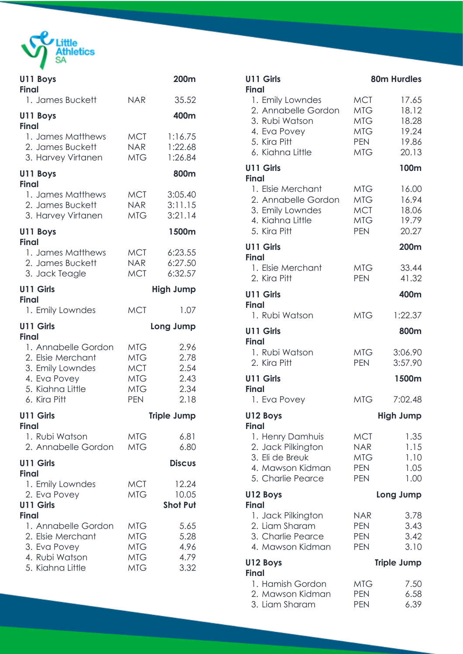

| U11 Boys<br><b>Final</b>                                                                                         |                                                                                  | 200m                                         |
|------------------------------------------------------------------------------------------------------------------|----------------------------------------------------------------------------------|----------------------------------------------|
| 1. James Buckett                                                                                                 | <b>NAR</b>                                                                       | 35.52                                        |
| U11 Boys                                                                                                         |                                                                                  | 400m                                         |
| <b>Final</b><br>1. James Matthews<br>2. James Buckett<br>3. Harvey Virtanen                                      | <b>MCT</b><br>NAR <sup></sup><br><b>MTG</b>                                      | 1:16.75<br>1:22.68<br>1:26.84                |
| U11 Boys<br><b>Final</b>                                                                                         |                                                                                  | 800m                                         |
| 1. James Matthews<br>2. James Buckett<br>3. Harvey Virtanen                                                      | <b>MCT</b><br><b>NAR</b><br>MTG                                                  | 3:05.40<br>3:11.15<br>3:21.14                |
| U11 Boys<br><b>Final</b>                                                                                         |                                                                                  | 1500m                                        |
| 1. James Matthews<br>2. James Buckett<br>3. Jack Teagle                                                          | <b>MCT</b><br><b>NAR</b><br><b>MCT</b>                                           | 6:23.55<br>6:27.50<br>6:32.57                |
| U11 Girls<br><b>Final</b>                                                                                        |                                                                                  | <b>High Jump</b>                             |
| 1. Emily Lowndes                                                                                                 | <b>MCT</b>                                                                       | 1.07                                         |
| <b>U11 Girls</b><br><b>Final</b>                                                                                 |                                                                                  | Long Jump                                    |
| 1. Annabelle Gordon<br>2. Elsie Merchant<br>3. Emily Lowndes<br>4. Eva Povey<br>5. Kiahna Little<br>6. Kira Pitt | <b>MTG</b><br><b>MTG</b><br><b>MCT</b><br><b>MTG</b><br><b>MTG</b><br><b>PEN</b> | 2.96<br>2.78<br>2.54<br>2.43<br>2.34<br>2.18 |
| <b>U11 Girls</b>                                                                                                 |                                                                                  | <b>Triple Jump</b>                           |
| <b>Final</b><br>1. Rubi Watson<br>2. Annabelle Gordon                                                            | <b>MTG</b><br><b>MTG</b>                                                         | 6.81<br>6.80                                 |
| <b>U11 Girls</b><br><b>Final</b>                                                                                 |                                                                                  | <b>Discus</b>                                |
| 1. Emily Lowndes<br>2. Eva Povey                                                                                 | <b>MCT</b><br><b>MTG</b>                                                         | 12.24<br>10.05                               |
| <b>U11 Girls</b><br><b>Final</b>                                                                                 |                                                                                  | <b>Shot Put</b>                              |
| 1. Annabelle Gordon<br>2. Elsie Merchant<br>3. Eva Povey<br>4. Rubi Watson<br>5. Kiahna Little                   | MTG<br><b>MTG</b><br><b>MTG</b><br><b>MTG</b><br><b>MTG</b>                      | 5.65<br>5.28<br>4.96<br>4.79<br>3.32         |

| <b>U11 Girls</b><br>Final                                                                                     |                                                                    | <b>80m Hurdles</b>                                 |
|---------------------------------------------------------------------------------------------------------------|--------------------------------------------------------------------|----------------------------------------------------|
| 1. Emily Lowndes<br>2. Annabelle Gordon<br>3. Rubi Watson<br>4. Eva Povey<br>5. Kira Pitt<br>6. Kiahna Little | <b>MCT</b><br><b>MTG</b><br>MTG<br><b>MTG</b><br><b>PEN</b><br>MTG | 17.65<br>18.12<br>18.28<br>19.24<br>19.86<br>20.13 |
| <b>U11 Girls</b><br>Final                                                                                     |                                                                    | 100m                                               |
| 1. Elsie Merchant<br>2. Annabelle Gordon<br>3. Emily Lowndes<br>4. Kiahna Little<br>5. Kira Pitt              | MTG<br>MTG<br><b>MCT</b><br><b>MTG</b><br><b>PEN</b>               | 16.00<br>16.94<br>18.06<br>19.79<br>20.27          |
| <b>U11 Girls</b><br>Final                                                                                     |                                                                    | 200m                                               |
| 1. Elsie Merchant<br>2. Kira Pitt                                                                             | MTG<br><b>PEN</b>                                                  | 33.44<br>41.32                                     |
| <b>U11 Girls</b><br>Final                                                                                     |                                                                    | 400m                                               |
| 1. Rubi Watson                                                                                                | <b>MTG</b>                                                         | 1:22.37                                            |
| U11 Girls<br>Final                                                                                            |                                                                    | 800m                                               |
| 1. Rubi Watson<br>2. Kira Pitt                                                                                | MTG<br><b>PEN</b>                                                  | 3:06.90<br>3:57.90                                 |
| <b>U11 Girls</b><br><b>Final</b>                                                                              |                                                                    | 1500m                                              |
| 1. Eva Povey                                                                                                  | <b>MTG</b>                                                         | 7:02.48                                            |
| U12 Boys<br><b>Final</b>                                                                                      |                                                                    | <b>High Jump</b>                                   |
| 1. Henry Damhuis<br>2. Jack Pilkington<br>3. Eli de Breuk<br>4. Mawson Kidman<br>5. Charlie Pearce            | <b>MCT</b><br><b>NAR</b><br><b>MTG</b><br><b>PEN</b><br><b>PEN</b> | 1.35<br>1.15<br>1.10<br>1.05<br>1.00               |
| U12 Boys<br><b>Final</b>                                                                                      |                                                                    | Long Jump                                          |
| 1. Jack Pilkington<br>2. Liam Sharam<br>3. Charlie Pearce<br>4. Mawson Kidman                                 | <b>NAR</b><br><b>PEN</b><br><b>PEN</b><br><b>PEN</b>               | 3.78<br>3.43<br>3.42<br>3.10                       |
| U12 Boys<br><b>Final</b>                                                                                      |                                                                    | <b>Triple Jump</b>                                 |
| 1. Hamish Gordon<br>2. Mawson Kidman<br>3. Liam Sharam                                                        | <b>MTG</b><br><b>PEN</b><br><b>PEN</b>                             | 7.50<br>6.58<br>6.39                               |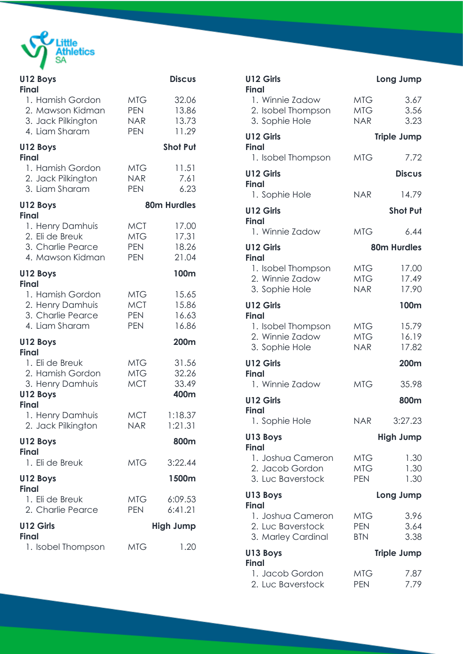

| U12 Boys<br><b>Final</b>                                                            |                                                      | <b>Discus</b>                    |
|-------------------------------------------------------------------------------------|------------------------------------------------------|----------------------------------|
| 1. Hamish Gordon<br>2. Mawson Kidman<br>3. Jack Pilkington<br>4. Liam Sharam        | <b>MTG</b><br><b>PEN</b><br><b>NAR</b><br><b>PEN</b> | 32.06<br>13.86<br>13.73<br>11.29 |
| U12 Boys<br><b>Final</b>                                                            |                                                      | <b>Shot Put</b>                  |
| 1. Hamish Gordon<br>2. Jack Pilkington<br>3. Liam Sharam                            | MTG<br><b>NAR</b><br><b>PEN</b>                      | 11.51<br>7.61<br>6.23            |
| U12 Boys<br><b>Final</b>                                                            |                                                      | <b>80m Hurdles</b>               |
| 1. Henry Damhuis<br>2. Eli de Breuk<br>3. Charlie Pearce<br>4. Mawson Kidman        | <b>MCT</b><br>MTG<br><b>PEN</b><br><b>PEN</b>        | 17.00<br>17.31<br>18.26<br>21.04 |
| U12 Boys<br><b>Final</b>                                                            |                                                      | 100m                             |
| 1. Hamish Gordon<br>2. Henry Damhuis<br>3. Charlie Pearce<br>4. Liam Sharam         | MTG<br><b>MCT</b><br><b>PEN</b><br><b>PEN</b>        | 15.65<br>15.86<br>16.63<br>16.86 |
| U12 Boys<br><b>Final</b>                                                            |                                                      | 200m                             |
| 1. Eli de Breuk<br>2. Hamish Gordon<br>3. Henry Damhuis<br>U12 Boys<br><b>Final</b> | MTG.<br>MTG<br><b>MCT</b>                            | 31.56<br>32.26<br>33.49<br>400m  |
| 1. Henry Damhuis<br>2. Jack Pilkington                                              | <b>MCT</b><br><b>NAR</b>                             | 1:18.37<br>1:21.31               |
| U12 Boys<br><b>Final</b>                                                            |                                                      | 800m                             |
| 1. Eli de Breuk                                                                     | <b>MTG</b>                                           | 3:22.44                          |
| U12 Boys<br><b>Final</b>                                                            |                                                      | 1500m                            |
| 1. Eli de Breuk<br>2. Charlie Pearce                                                | MTG<br>PEN                                           | 6:09.53<br>6:41.21               |
| U12 Girls<br><b>Final</b>                                                           |                                                      | <b>High Jump</b>                 |
| 1. Isobel Thompson                                                                  | MTG                                                  | 1.20                             |

| <b>U12 Girls</b><br><b>Final</b>                                             |                                        | Long Jump               |
|------------------------------------------------------------------------------|----------------------------------------|-------------------------|
| 1. Winnie Zadow<br>2. Isobel Thompson<br>3. Sophie Hole                      | <b>MTG</b><br><b>MTG</b><br><b>NAR</b> | 3.67<br>3.56<br>3.23    |
| U12 Girls<br><b>Final</b>                                                    |                                        | <b>Triple Jump</b>      |
| 1. Isobel Thompson                                                           | <b>MTG</b>                             | 7.72                    |
| U12 Girls                                                                    |                                        | <b>Discus</b>           |
| <b>Final</b><br>1. Sophie Hole                                               | <b>NAR</b>                             | 14.79                   |
| U12 Girls                                                                    |                                        | <b>Shot Put</b>         |
| <b>Final</b><br>1. Winnie Zadow                                              | <b>MTG</b>                             | 6.44                    |
| <b>U12 Girls</b>                                                             |                                        | <b>80m Hurdles</b>      |
| <b>Final</b><br>1. Isobel Thompson<br>2. Winnie Zadow<br>3. Sophie Hole      | <b>MTG</b><br><b>MTG</b><br><b>NAR</b> | 17.00<br>17.49<br>17.90 |
| <b>U12 Girls</b>                                                             |                                        | 100m                    |
| <b>Final</b><br>1. Isobel Thompson<br>2. Winnie Zadow<br>3. Sophie Hole      | <b>MTG</b><br><b>MTG</b><br><b>NAR</b> | 15.79<br>16.19<br>17.82 |
| <b>U12 Girls</b>                                                             |                                        | 200m                    |
| <b>Final</b><br>1. Winnie Zadow                                              | <b>MTG</b>                             | 35.98                   |
| U12 Girls                                                                    |                                        | 800m                    |
| <b>Final</b><br>1. Sophie Hole                                               | <b>NAR</b>                             | 3:27.23                 |
| U13 Boys                                                                     |                                        | <b>High Jump</b>        |
| <b>Final</b><br>1. Joshua Cameron<br>2. Jacob Gordon<br>3. Luc Baverstock    | <b>MTG</b><br><b>MTG</b><br><b>PEN</b> | 1.30<br>1.30<br>1.30    |
| U13 Boys                                                                     |                                        | Long Jump               |
| <b>Final</b><br>1. Joshua Cameron<br>2. Luc Baverstock<br>3. Marley Cardinal | <b>MTG</b><br><b>PEN</b><br><b>BTN</b> | 3.96<br>3.64<br>3.38    |
| U13 Boys<br><b>Final</b>                                                     |                                        | <b>Triple Jump</b>      |
| 1. Jacob Gordon<br>2. Luc Baverstock                                         | <b>MTG</b><br><b>PEN</b>               | 7.87<br>7.79            |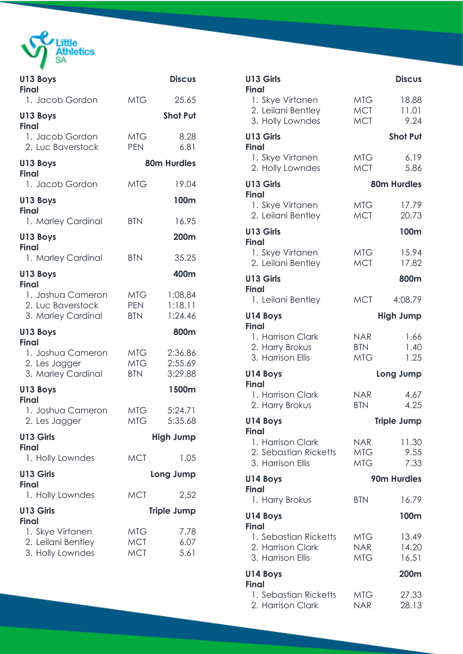

**Contract Contract** 

| U13 Boys<br><b>Final</b>                                                   |                                        | <b>Discus</b>                 |
|----------------------------------------------------------------------------|----------------------------------------|-------------------------------|
| 1. Jacob Gordon                                                            | <b>MTG</b>                             | 25.65                         |
| U13 Boys                                                                   |                                        | <b>Shot Put</b>               |
| <b>Final</b><br>1. Jacob Gordon<br>2. Luc Baverstock                       | <b>MTG</b><br><b>PEN</b>               | 8.28<br>6.81                  |
| U13 Boys<br><b>Final</b>                                                   |                                        | <b>80m Hurdles</b>            |
| 1. Jacob Gordon                                                            | <b>MTG</b>                             | 19.04                         |
| U13 Boys<br><b>Final</b>                                                   |                                        | 100m                          |
| 1. Marley Cardinal                                                         | <b>BTN</b>                             | 16.95                         |
| U13 Boys<br><b>Final</b>                                                   |                                        | 200m                          |
| 1. Marley Cardinal                                                         | <b>BTN</b>                             | 35.25                         |
| U13 Boys<br><b>Final</b>                                                   |                                        | 400m                          |
| 1. Joshua Cameron<br>2. Luc Baverstock<br>3. Marley Cardinal               | MTG .<br><b>PEN</b><br><b>BTN</b>      | 1:08.84<br>1:18.11<br>1:24.46 |
| U13 Boys                                                                   |                                        | 800m                          |
| <b>Final</b><br>1. Joshua Cameron<br>2. Les Jagger<br>3. Marley Cardinal   | <b>MTG</b><br><b>MTG</b><br><b>BTN</b> | 2:36.86<br>2:55.69<br>3:29.88 |
| U13 Boys<br><b>Final</b>                                                   |                                        | 1500m                         |
| 1. Joshua Cameron<br>2. Les Jagger                                         | <b>MTG</b><br><b>MTG</b>               | 5:24.71<br>5:35.68            |
| U13 Girls                                                                  |                                        | <b>High Jump</b>              |
| <b>Final</b><br>1. Holly Lowndes                                           | <b>MCT</b>                             | 1.05                          |
| U13 Girls                                                                  |                                        | Long Jump                     |
| <b>Final</b><br>1. Holly Lowndes                                           | <b>MCT</b>                             | 2.52                          |
| U13 Girls                                                                  |                                        | <b>Triple Jump</b>            |
| <b>Final</b><br>1. Skye Virtanen<br>2. Leilani Bentley<br>3. Holly Lowndes | <b>MTG</b><br><b>MCT</b><br><b>MCT</b> | 7.78<br>6.07<br>5.61          |

| U13 Girls<br><b>Final</b>                                       |                                        | <b>Discus</b>           |
|-----------------------------------------------------------------|----------------------------------------|-------------------------|
| 1. Skye Virtanen<br>2. Leilani Bentley<br>3. Holly Lowndes      | MTG-<br><b>MCT</b><br><b>MCT</b>       | 18.88<br>11.01<br>9.24  |
| U13 Girls                                                       |                                        | <b>Shot Put</b>         |
| <b>Final</b><br>1. Skye Virtanen<br>2. Holly Lowndes            | <b>MTG</b><br><b>MCT</b>               | 6.19<br>5.86            |
| U13 Girls<br><b>Final</b>                                       |                                        | <b>80m Hurdles</b>      |
| 1. Skye Virtanen<br>2. Leilani Bentley                          | <b>MTG</b><br><b>MCT</b>               | 17.79<br>20.73          |
| U13 Girls<br><b>Final</b>                                       |                                        | 100m                    |
| 1. Skye Virtanen<br>2. Leilani Bentley                          | <b>MTG</b><br><b>MCT</b>               | 15.94<br>17.82          |
| U13 Girls<br><b>Final</b>                                       |                                        | 800m                    |
| 1. Leilani Bentley                                              | <b>MCT</b>                             | 4:08.79                 |
| U14 Boys<br><b>Final</b>                                        |                                        | <b>High Jump</b>        |
| 1. Harrison Clark<br>2. Harry Brokus<br>3. Harrison Ellis       | <b>NAR</b><br><b>BTN</b><br><b>MTG</b> | 1.66<br>1.40<br>1.25    |
| U14 Boys                                                        |                                        | Long Jump               |
| <b>Final</b><br>1. Harrison Clark<br>2. Harry Brokus            | <b>NAR</b><br><b>BTN</b>               | 4.67<br>4.25            |
| U14 Boys<br><b>Final</b>                                        |                                        | <b>Triple Jump</b>      |
| 1. Harrison Clark<br>2. Sebastian Ricketts<br>3. Harrison Ellis | NAR.<br><b>MTG</b><br><b>MTG</b>       | 11.30<br>9.55<br>7.33   |
| U14 Boys                                                        |                                        | 90m Hurdles             |
| <b>Final</b><br>1. Harry Brokus                                 | <b>BTN</b>                             | 16.79                   |
| U14 Boys<br><b>Final</b>                                        |                                        | 100m                    |
| 1. Sebastian Ricketts<br>2. Harrison Clark<br>3. Harrison Ellis | MTG.<br><b>NAR</b><br>MTG              | 13.49<br>14.20<br>16.51 |
| U14 Boys<br><b>Final</b>                                        |                                        | <b>200m</b>             |
| 1. Sebastian Ricketts<br>2. Harrison Clark                      | <b>MTG</b><br><b>NAR</b>               | 27.33<br>28.13          |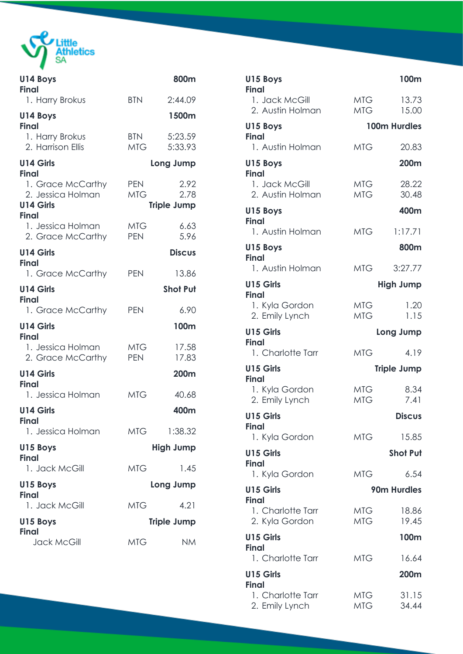

**Contract Contract** 

| U14 Boys<br><b>Final</b>                                                   |                          | 800m                               |
|----------------------------------------------------------------------------|--------------------------|------------------------------------|
| 1. Harry Brokus                                                            | <b>BTN</b>               | 2:44.09                            |
| U14 Boys<br><b>Final</b>                                                   |                          | 1500m                              |
| 1. Harry Brokus<br>2. Harrison Ellis                                       | <b>BTN</b><br><b>MTG</b> | 5:23.59<br>5:33.93                 |
| <b>U14 Girls</b><br><b>Final</b>                                           |                          | Long Jump                          |
| 1. Grace McCarthy<br>2. Jessica Holman<br><b>U14 Girls</b><br><b>Final</b> | <b>PEN</b><br><b>MTG</b> | 2.92<br>2.78<br><b>Triple Jump</b> |
| 1. Jessica Holman<br>2. Grace McCarthy                                     | <b>MTG</b><br><b>PEN</b> | 6.63<br>5.96                       |
| <b>U14 Girls</b><br><b>Final</b>                                           |                          | <b>Discus</b>                      |
| 1. Grace McCarthy                                                          | <b>PEN</b>               | 13.86                              |
| <b>U14 Girls</b><br><b>Final</b>                                           |                          | <b>Shot Put</b>                    |
| 1. Grace McCarthy                                                          | <b>PEN</b>               | 6.90                               |
| <b>U14 Girls</b><br><b>Final</b>                                           |                          | 100m                               |
| 1. Jessica Holman<br>2. Grace McCarthy                                     | <b>MTG</b><br><b>PEN</b> | 17.58<br>17.83                     |
| <b>U14 Girls</b><br><b>Final</b>                                           |                          | 200m                               |
| 1. Jessica Holman                                                          | <b>MTG</b>               | 40.68                              |
| <b>U14 Girls</b><br>Final                                                  |                          | 400m                               |
| 1. Jessica Holman                                                          |                          | MTG 1:38.32                        |
| U15 Boys<br><b>Final</b>                                                   |                          | <b>High Jump</b>                   |
| 1. Jack McGill                                                             | <b>MTG</b>               | 1.45                               |
| U15 Boys<br><b>Final</b>                                                   |                          | Long Jump                          |
| 1. Jack McGill                                                             | <b>MTG</b>               | 4.21                               |
| U15 Boys<br><b>Final</b>                                                   |                          | <b>Triple Jump</b>                 |
| Jack McGill                                                                | <b>MTG</b>               | <b>NM</b>                          |

| U15 Boys<br><b>Final</b>            |                          | 100m               |
|-------------------------------------|--------------------------|--------------------|
| 1. Jack McGill<br>2. Austin Holman  | MTG<br><b>MTG</b>        | 13.73<br>15.00     |
| U15 Boys<br><b>Final</b>            |                          | 100m Hurdles       |
| 1. Austin Holman                    | <b>MTG</b>               | 20.83              |
| U15 Boys<br><b>Final</b>            |                          | 200m               |
| 1. Jack McGill<br>2. Austin Holman  | MTG-<br><b>MTG</b>       | 28.22<br>30.48     |
| U15 Boys<br><b>Final</b>            |                          | 400m               |
| 1. Austin Holman                    | <b>MTG</b>               | 1:17.71            |
| U15 Boys<br><b>Final</b>            |                          | 800m               |
| 1. Austin Holman                    | <b>MTG</b>               | 3:27.77            |
| <b>U15 Girls</b><br><b>Final</b>    |                          | <b>High Jump</b>   |
| 1. Kyla Gordon<br>2. Emily Lynch    | <b>MTG</b><br><b>MTG</b> | 1.20<br>1.15       |
| U15 Girls<br><b>Final</b>           |                          | Long Jump          |
| 1. Charlotte Tarr                   | <b>MTG</b>               | 4.19               |
| <b>U15 Girls</b><br><b>Final</b>    |                          | <b>Triple Jump</b> |
| 1. Kyla Gordon<br>2. Emily Lynch    | <b>MTG</b><br><b>MTG</b> | 8.34<br>7.41       |
| U15 Girls<br>Final                  |                          | <b>Discus</b>      |
| 1. Kyla Gordon                      | <b>MTG</b>               | 15.85              |
| U15 Girls<br><b>Final</b>           |                          | <b>Shot Put</b>    |
| 1. Kyla Gordon                      | <b>MTG</b>               | 6.54               |
| <b>U15 Girls</b><br><b>Final</b>    |                          | 90m Hurdles        |
| 1. Charlotte Tarr<br>2. Kyla Gordon | <b>MTG</b><br><b>MTG</b> | 18.86<br>19.45     |
| U15 Girls<br>Final                  |                          | 100m               |
| 1. Charlotte Tarr                   | <b>MTG</b>               | 16.64              |
| U15 Girls<br>Final                  |                          | 200m               |
| 1. Charlotte Tarr<br>2. Emily Lynch | <b>MTG</b><br><b>MTG</b> | 31.15<br>34.44     |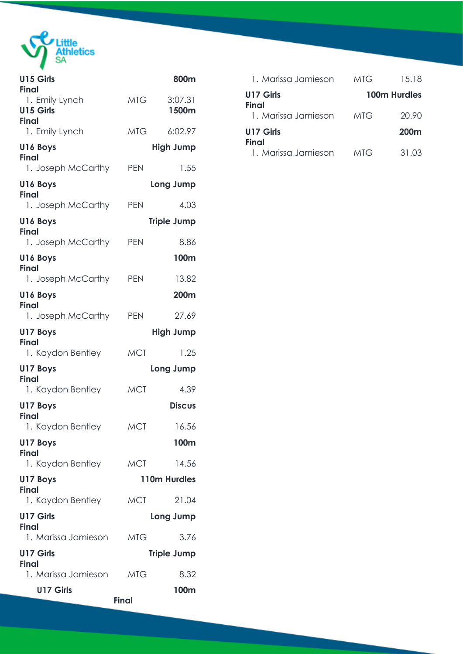

**Contract Contract** 

| U15 Girls<br>Final                  |              | 800m               |
|-------------------------------------|--------------|--------------------|
| 1. Emily Lynch<br><b>U15 Girls</b>  | MTG          | 3:07.31<br>1500m   |
| <b>Final</b><br>1. Emily Lynch      | <b>MTG</b>   | 6:02.97            |
| U16 Boys                            |              | <b>High Jump</b>   |
| Final<br>1. Joseph McCarthy         | <b>PEN</b>   | 1.55               |
| U16 Boys                            |              | Long Jump          |
| <b>Final</b><br>1. Joseph McCarthy  | <b>PEN</b>   | 4.03               |
| U16 Boys                            |              | <b>Triple Jump</b> |
| Final<br>1. Joseph McCarthy         | <b>PEN</b>   | 8.86               |
| U16 Boys                            |              | 100 <sub>m</sub>   |
| Final<br>1. Joseph McCarthy         | <b>PEN</b>   | 13.82              |
| U16 Boys                            |              | 200m               |
| <b>Final</b><br>1. Joseph McCarthy  | <b>PEN</b>   | 27.69              |
| U17 Boys                            |              | <b>High Jump</b>   |
| <b>Final</b><br>1. Kaydon Bentley   | <b>MCT</b>   | 1.25               |
| U17 Boys                            |              | Long Jump          |
| Final<br>1. Kaydon Bentley          | <b>MCT</b>   | 4.39               |
| U17 Boys                            |              | <b>Discus</b>      |
| <b>Final</b><br>1. Kaydon Bentley   | <b>MCT</b>   | 16.56              |
| U17 Boys                            |              | 100m               |
| Final<br>1. Kaydon Bentley          | <b>MCT</b>   | 14.56              |
| U17 Boys                            |              | 110m Hurdles       |
| Final<br>1. Kaydon Bentley          | <b>MCT</b>   | 21.04              |
| <b>U17 Girls</b>                    |              | Long Jump          |
| <b>Final</b><br>1. Marissa Jamieson | <b>MTG</b>   | 3.76               |
| <b>U17 Girls</b>                    |              | <b>Triple Jump</b> |
| <b>Final</b><br>1. Marissa Jamieson | <b>MTG</b>   | 8.32               |
| U17 Girls                           |              | 100m               |
|                                     | <b>Final</b> |                    |

| 1. Marissa Jamieson       | MTG | 15.18        |
|---------------------------|-----|--------------|
| U17 Girls<br><b>Final</b> |     | 100m Hurdles |
| 1. Marissa Jamieson       | MTG | 20.90        |
| U17 Girls<br><b>Final</b> |     | <b>200m</b>  |
| 1. Marissa Jamieson       | MTG | 31.03        |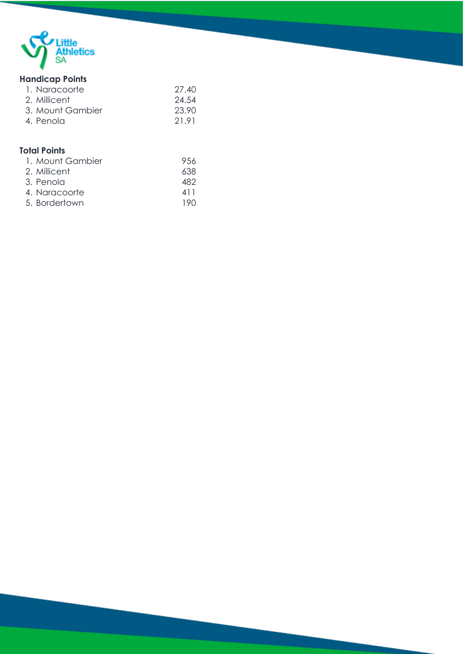

## **Handicap Points**

| 1. Naracoorte    | 27.40 |
|------------------|-------|
| 2. Millicent     | 24.54 |
| 3. Mount Gambier | 23.90 |
| 4. Penola        | 21.91 |

## **Total Points**

| 1. Mount Gambier | 9.56 |
|------------------|------|
| 2. Millicent     | 638  |
| 3. Penola        | 482  |
| 4. Naracoorte    | 411  |
| 5. Bordertown    | 190  |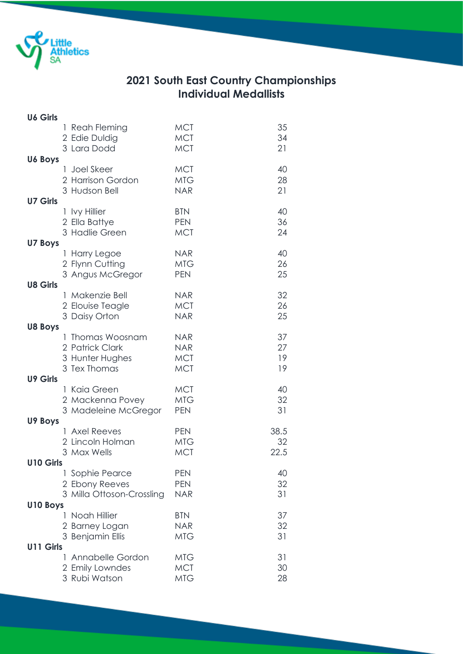

## **2021 South East Country Championships Individual Medallists**

| <b>U6 Girls</b> |   |                                                                        |                                                      |                      |
|-----------------|---|------------------------------------------------------------------------|------------------------------------------------------|----------------------|
|                 |   | 1 Reah Fleming<br>2 Edie Duldig<br>3 Lara Dodd                         | <b>MCT</b><br><b>MCT</b><br><b>MCT</b>               | 35<br>34<br>21       |
| <b>U6 Boys</b>  |   | 1 Joel Skeer<br>2 Harrison Gordon<br>3 Hudson Bell                     | <b>MCT</b><br><b>MTG</b><br><b>NAR</b>               | 40<br>28<br>21       |
| <b>U7 Girls</b> |   | 1 Ivy Hillier<br>2 Ella Battye<br>3 Hadlie Green                       | <b>BTN</b><br><b>PEN</b><br><b>MCT</b>               | 40<br>36<br>24       |
| <b>U7 Boys</b>  |   | 1 Harry Legoe<br>2 Flynn Cutting<br>3 Angus McGregor                   | <b>NAR</b><br><b>MTG</b><br><b>PEN</b>               | 40<br>26<br>25       |
| <b>U8 Girls</b> |   | 1 Makenzie Bell<br>2 Elouise Teagle<br>3 Daisy Orton                   | <b>NAR</b><br><b>MCT</b><br><b>NAR</b>               | 32<br>26<br>25       |
| <b>U8 Boys</b>  |   | 1 Thomas Woosnam<br>2 Patrick Clark<br>3 Hunter Hughes<br>3 Tex Thomas | <b>NAR</b><br><b>NAR</b><br><b>MCT</b><br><b>MCT</b> | 37<br>27<br>19<br>19 |
| <b>U9 Girls</b> |   | 1 Kaia Green<br>2 Mackenna Povey<br>3 Madeleine McGregor               | <b>MCT</b><br><b>MTG</b><br><b>PEN</b>               | 40<br>32<br>31       |
| U9 Boys         | L | <b>Axel Reeves</b><br>2 Lincoln Holman<br>3 Max Wells                  | <b>PEN</b><br><b>MTG</b><br><b>MCT</b>               | 38.5<br>32<br>22.5   |
| U10 Girls       |   | Sophie Pearce<br>2 Ebony Reeves<br>3 Milla Ottoson-Crossling           | <b>PEN</b><br><b>PEN</b><br><b>NAR</b>               | 40<br>32<br>31       |
| U10 Boys        |   |                                                                        |                                                      |                      |
|                 |   | Noah Hillier<br>2 Barney Logan<br>3 Benjamin Ellis                     | <b>BTN</b><br><b>NAR</b><br><b>MTG</b>               | 37<br>32<br>31       |
| U11 Girls       |   |                                                                        |                                                      |                      |
|                 | L | Annabelle Gordon<br>2 Emily Lowndes<br>3 Rubi Watson                   | <b>MTG</b><br><b>MCT</b><br><b>MTG</b>               | 31<br>30<br>28       |